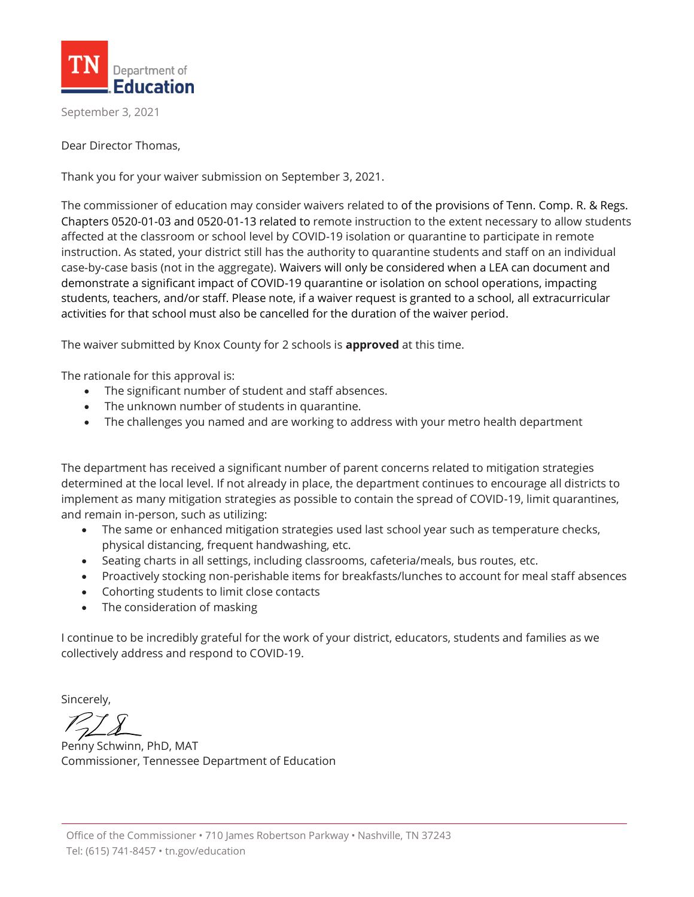

September 3, 2021

Dear Director Thomas,

Thank you for your waiver submission on September 3, 2021.

The commissioner of education may consider waivers related to of the provisions of Tenn. Comp. R. & Regs. Chapters 0520-01-03 and 0520-01-13 related to remote instruction to the extent necessary to allow students affected at the classroom or school level by COVID-19 isolation or quarantine to participate in remote instruction. As stated, your district still has the authority to quarantine students and staff on an individual case-by-case basis (not in the aggregate). Waivers will only be considered when a LEA can document and demonstrate a significant impact of COVID-19 quarantine or isolation on school operations, impacting students, teachers, and/or staff. Please note, if a waiver request is granted to a school, all extracurricular activities for that school must also be cancelled for the duration of the waiver period.

The waiver submitted by Knox County for 2 schools is **approved** at this time.

The rationale for this approval is:

- The significant number of student and staff absences.
- The unknown number of students in quarantine.
- The challenges you named and are working to address with your metro health department

The department has received a significant number of parent concerns related to mitigation strategies determined at the local level. If not already in place, the department continues to encourage all districts to implement as many mitigation strategies as possible to contain the spread of COVID-19, limit quarantines, and remain in-person, such as utilizing:

- The same or enhanced mitigation strategies used last school year such as temperature checks, physical distancing, frequent handwashing, etc.
- Seating charts in all settings, including classrooms, cafeteria/meals, bus routes, etc.
- Proactively stocking non-perishable items for breakfasts/lunches to account for meal staff absences
- Cohorting students to limit close contacts
- The consideration of masking

I continue to be incredibly grateful for the work of your district, educators, students and families as we collectively address and respond to COVID-19.

Sincerely,

Penny Schwinn, PhD, MAT Commissioner, Tennessee Department of Education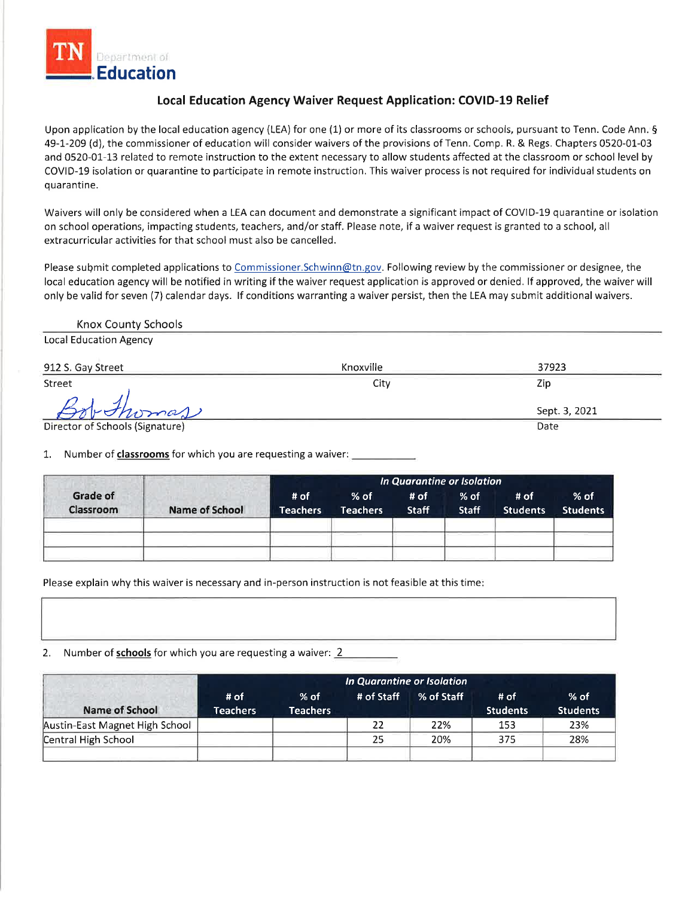

## Local Education Agency Waiver Request Application: COVID-19 Relief

Upon application by the local education agency (LEA) for one (1) or more of its classrooms or schools, pursuant to Tenn. Code Ann. § 49-1-209 (d), the commissioner of education will consider waivers of the provisions of Tenn. Comp. R. & Regs. Chapters 0520-01-03 and 0520-01-13 related to remote instruction to the extent necessary to allow students affected at the classroom or school level by COVID-19 isolation or quarantine to participate in remote instruction. This waiver process is not required for individual students on quarantine.

Waivers will only be considered when a LEA can document and demonstrate a significant impact of COVID-19 quarantine or isolation on school operations, impacting students, teachers, and/or staff. Please note, if a waiver request is granted to a school, all extracurricular activities for that school must also be cancelled.

Please submit completed applications to Commissioner.Schwinn@tn.gov. Following review by the commissioner or designee, the local education agency will be notified in writing if the waiver request application is approved or denied. If approved, the waiver will only be valid for seven (7) calendar days. If conditions warranting a waiver persist, then the LEA may submit additional waivers.

Knox County Schools

**Local Education Agency** 

| 912 S. Gay Street               | Knoxville | 37923         |
|---------------------------------|-----------|---------------|
| Street                          | City      | Zip           |
| rohomas                         |           | Sept. 3, 2021 |
| Director of Schools (Signature) |           | Date          |

1. Number of classrooms for which you are requesting a waiver:

|                       |                | In Quarantine or Isolation |                           |               |                        |                         |                           |
|-----------------------|----------------|----------------------------|---------------------------|---------------|------------------------|-------------------------|---------------------------|
| Grade of<br>Classroom | Name of School | # of<br>Teachers           | $%$ of<br><b>Teachers</b> | # of<br>Staff | $%$ of<br><b>Staff</b> | # of<br><b>Students</b> | $%$ of<br><b>Students</b> |
|                       |                |                            |                           |               |                        |                         |                           |
|                       |                |                            |                           |               |                        |                         |                           |
|                       |                |                            |                           |               |                        |                         |                           |

Please explain why this waiver is necessary and in-person instruction is not feasible at this time:

 $2.$ Number of schools for which you are requesting a waiver: 2

|                                | In Quarantine or Isolation |                           |            |            |                         |                           |  |
|--------------------------------|----------------------------|---------------------------|------------|------------|-------------------------|---------------------------|--|
| Name of School                 | # of<br><b>Teachers</b>    | $%$ of<br><b>Teachers</b> | # of Staff | % of Staff | # of<br><b>Students</b> | $%$ of<br><b>Students</b> |  |
| Austin-East Magnet High School |                            |                           | 22         | 22%        | 153                     | 23%                       |  |
| Central High School            |                            |                           | 25         | 20%        | 375                     | 28%                       |  |
|                                |                            |                           |            |            |                         |                           |  |